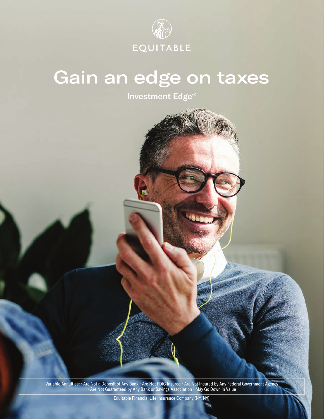

### Gain an edge on taxes

Investment Edge®

Variable Annuities: • Are Not a Deposit of Any Bank • Are Not FDIC Insured • Are Not Insured by Any Federal Government Agency • Are Not Guaranteed by Any Bank or Savings Association • May Go Down in Value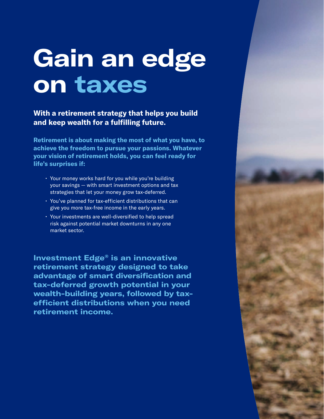# **Gain an edge on taxes**

**With a retirement strategy that helps you build and keep wealth for a fulfilling future.** 

**Retirement is about making the most of what you have, to achieve the freedom to pursue your passions. Whatever your vision of retirement holds, you can feel ready for life's surprises if:** 

- Your money works hard for you while you're building your savings — with smart investment options and tax strategies that let your money grow tax-deferred.
- You've planned for tax-efficient distributions that can give you more tax-free income in the early years.
- Your investments are well-diversified to help spread risk against potential market downturns in any one market sector.

**Investment Edge® is an innovative retirement strategy designed to take advantage of smart diversification and tax-deferred growth potential in your wealth-building years, followed by taxefficient distributions when you need retirement income.**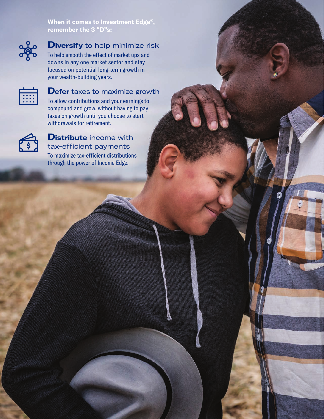**When it comes to Investment Edge®, remember the 3 "D"s:**



### **Diversify** to help minimize risk

To help smooth the effect of market ups and downs in any one market sector and stay focused on potential long-term growth in your wealth-building years.



### **Defer** taxes to maximize growth

To allow contributions and your earnings to compound and grow, without having to pay taxes on growth until you choose to start withdrawals for retirement.



### **Distribute** income with tax-efficient payments To maximize tax-efficient distributions

through the power of Income Edge.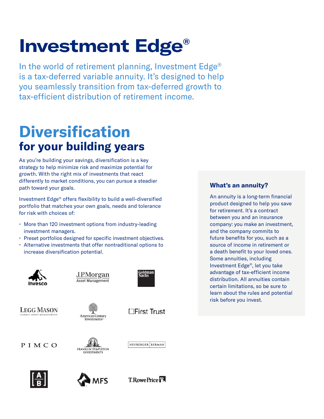## **Investment Edge®**

In the world of retirement planning, Investment Edge® is a tax-deferred variable annuity. It's designed to help you seamlessly transition from tax-deferred growth to tax-efficient distribution of retirement income.

### **Diversification for your building years**

As you're building your savings, diversification is a key strategy to help minimize risk and maximize potential for growth. With the right mix of investments that react differently to market conditions, you can pursue a steadier path toward your goals.

Investment Edge® offers flexibility to build a well-diversified portfolio that matches your own goals, needs and tolerance for risk with choices of:

- More than 120 investment options from industry-leading investment managers.
- Preset portfolios designed for specific investment objectives.
- Alternative investments that offer nontraditional options to increase diversification potential.



**LEGG MASON** 

J.P.Morgan **Asset Management** 





ioldman<br>Sachs

**American Century** Investments





**□First Trust** 

PIMCO



**T.RowePrice <sup>PR</sup>** 

### **What's an annuity?**

An annuity is a long-term financial product designed to help you save for retirement. It's a contract between you and an insurance company: you make an investment, and the company commits to future benefits for you, such as a source of income in retirement or a death benefit to your loved ones. Some annuities, including Investment Edge®, let you take advantage of tax-efficient income distribution. All annuities contain certain limitations, so be sure to learn about the rules and potential risk before you invest.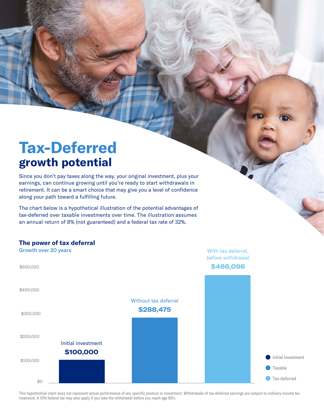### **Tax-Deferred growth potential**

Since you don't pay taxes along the way, your original investment, plus your earnings, can continue growing until you're ready to start withdrawals in retirement. It can be a smart choice that may give you a level of confidence along your path toward a fulfilling future.

The chart below is a hypothetical illustration of the potential advantages of tax-deferred over taxable investments over time. The illustration assumes an annual return of 8% (not guaranteed) and a federal tax rate of 32%.

#### **The power of tax deferral**



This hypothetical chart does not represent actual performance of any specific product or investment. Withdrawals of tax-deferred earnings are subject to ordinary income tax treatment. A 10% federal tax may also apply if you take the withdrawal before you reach age 59½.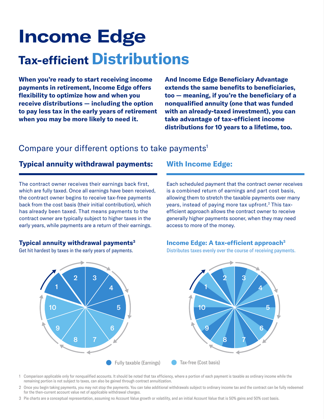## **Income Edge Tax-efficient Distributions**

**When you're ready to start receiving income payments in retirement, Income Edge offers flexibility to optimize how and when you receive distributions — including the option to pay less tax in the early years of retirement when you may be more likely to need it.** 

**And Income Edge Beneficiary Advantage extends the same benefits to beneficiaries, too — meaning, if you're the beneficiary of a nonqualified annuity (one that was funded with an already-taxed investment), you can take advantage of tax-efficient income distributions for 10 years to a lifetime, too.**

### Compare your different options to take payments<sup>1</sup>

### **Typical annuity withdrawal payments: With Income Edge:**

The contract owner receives their earnings back first, which are fully taxed. Once all earnings have been received, the contract owner begins to receive tax-free payments back from the cost basis (their initial contribution), which has already been taxed. That means payments to the contract owner are typically subject to higher taxes in the early years, while payments are a return of their earnings.

#### **Typical annuity withdrawal payments3**

Get hit hardest by taxes in the early years of payments.

Each scheduled payment that the contract owner receives is a combined return of earnings and part cost basis, allowing them to stretch the taxable payments over many years, instead of paying more tax upfront.<sup>2</sup> This taxefficient approach allows the contract owner to receive generally higher payments sooner, when they may need access to more of the money.

#### **Income Edge: A tax-efficient approach3**

Distributes taxes evenly over the course of receiving payments.



- 1 Comparison applicable only for nonqualified accounts. It should be noted that tax efficiency, where a portion of each payment is taxable as ordinary income while the remaining portion is not subject to taxes, can also be gained through contract annuitization.
- 2 Once you begin taking payments, you may not stop the payments. You can take additional withdrawals subject to ordinary income tax and the contract can be fully redeemed for the then-current account value net of applicable withdrawal charges.
- 3 Pie charts are a conceptual representation, assuming no Account Value growth or volatility, and an initial Account Value that is 50% gains and 50% cost basis.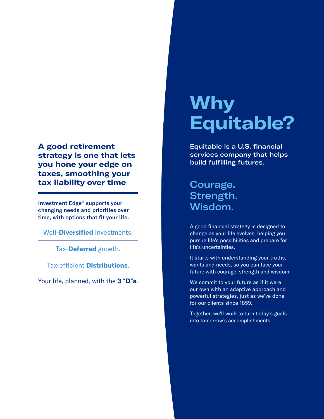**A good retirement strategy is one that lets you hone your edge on taxes, smoothing your tax liability over time**

Investment Edge® supports your changing needs and priorities over time, with options that fit your life.

Well-**Diversified** investments.

Tax-**Deferred** growth.

Tax-efficient **Distributions**.

Your life, planned, with the **3** "**D**"**s**.

### **Why Equitable?**

Equitable is a U.S. financial services company that helps build fulfilling futures.

Courage. Strength. Wisdom.

A good financial strategy is designed to change as your life evolves, helping you pursue life's possibilities and prepare for life's uncertainties.

It starts with understanding your truths, wants and needs, so you can face your future with courage, strength and wisdom.

We commit to your future as if it were our own with an adaptive approach and powerful strategies, just as we've done for our clients since 1859.

Together, we'll work to turn today's goals into tomorrow's accomplishments.